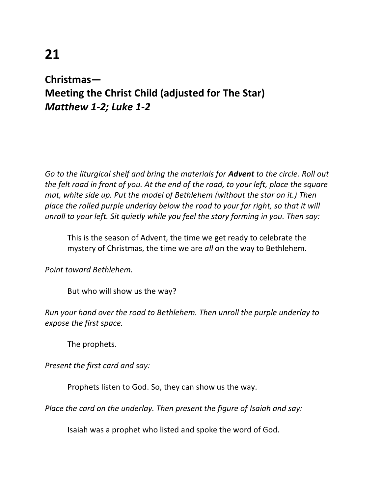## **21**

## **Christmas— Meeting the Christ Child (adjusted for The Star)** *Matthew 1-2; Luke 1-2*

*Go to the liturgical shelf and bring the materials for Advent to the circle. Roll out the felt road in front of you. At the end of the road, to your left, place the square mat, white side up. Put the model of Bethlehem (without the star on it.) Then place the rolled purple underlay below the road to your far right, so that it will unroll to your left. Sit quietly while you feel the story forming in you. Then say:*

This is the season of Advent, the time we get ready to celebrate the mystery of Christmas, the time we are *all* on the way to Bethlehem.

*Point toward Bethlehem.*

But who will show us the way?

*Run your hand over the road to Bethlehem. Then unroll the purple underlay to expose the first space.*

The prophets.

*Present the first card and say:*

Prophets listen to God. So, they can show us the way.

*Place the card on the underlay. Then present the figure of Isaiah and say:* 

Isaiah was a prophet who listed and spoke the word of God.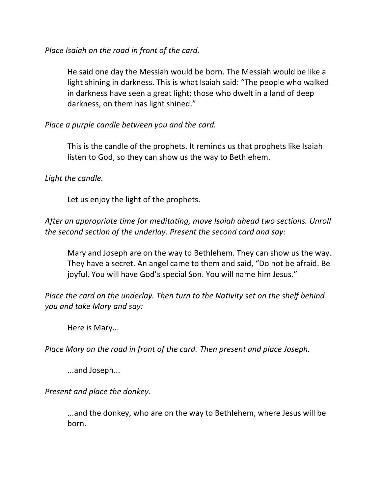*Place Isaiah on the road in front of the card.*

He said one day the Messiah would be born. The Messiah would be like a light shining in darkness. This is what Isaiah said: "The people who walked in darkness have seen a great light; those who dwelt in a land of deep darkness, on them has light shined."

*Place a purple candle between you and the card.*

This is the candle of the prophets. It reminds us that prophets like Isaiah listen to God, so they can show us the way to Bethlehem.

## *Light the candle.*

Let us enjoy the light of the prophets.

*After an appropriate time for meditating, move Isaiah ahead two sections. Unroll the second section of the underlay. Present the second card and say:*

Mary and Joseph are on the way to Bethlehem. They can show us the way. They have a secret. An angel came to them and said, "Do not be afraid. Be joyful. You will have God's special Son. You will name him Jesus."

*Place the card on the underlay. Then turn to the Nativity set on the shelf behind you and take Mary and say:*

Here is Mary...

*Place Mary on the road in front of the card. Then present and place Joseph.* 

...and Joseph...

*Present and place the donkey.*

...and the donkey, who are on the way to Bethlehem, where Jesus will be born.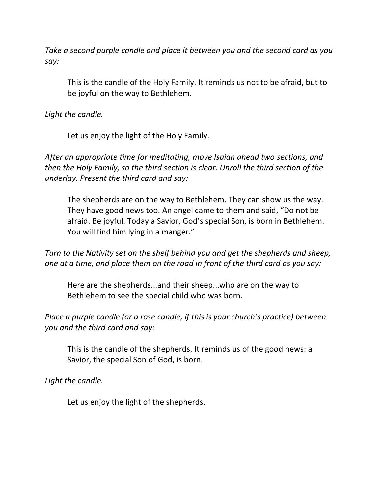*Take a second purple candle and place it between you and the second card as you say:*

This is the candle of the Holy Family. It reminds us not to be afraid, but to be joyful on the way to Bethlehem.

*Light the candle.*

Let us enjoy the light of the Holy Family.

*After an appropriate time for meditating, move Isaiah ahead two sections, and then the Holy Family, so the third section is clear. Unroll the third section of the underlay. Present the third card and say:*

The shepherds are on the way to Bethlehem. They can show us the way. They have good news too. An angel came to them and said, "Do not be afraid. Be joyful. Today a Savior, God's special Son, is born in Bethlehem. You will find him lying in a manger."

*Turn to the Nativity set on the shelf behind you and get the shepherds and sheep, one at a time, and place them on the road in front of the third card as you say:*

Here are the shepherds...and their sheep...who are on the way to Bethlehem to see the special child who was born.

*Place a purple candle (or a rose candle, if this is your church's practice) between you and the third card and say:*

This is the candle of the shepherds. It reminds us of the good news: a Savior, the special Son of God, is born.

*Light the candle.*

Let us enjoy the light of the shepherds.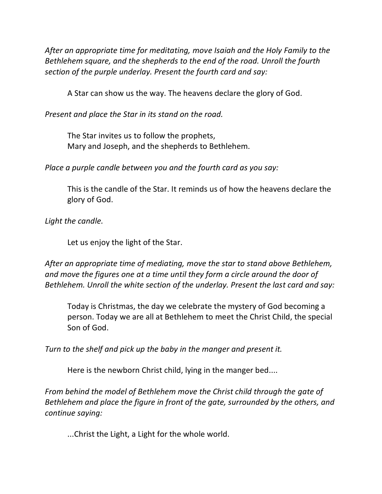*After an appropriate time for meditating, move Isaiah and the Holy Family to the Bethlehem square, and the shepherds to the end of the road. Unroll the fourth section of the purple underlay. Present the fourth card and say:*

A Star can show us the way. The heavens declare the glory of God.

*Present and place the Star in its stand on the road.*

The Star invites us to follow the prophets, Mary and Joseph, and the shepherds to Bethlehem.

*Place a purple candle between you and the fourth card as you say:*

This is the candle of the Star. It reminds us of how the heavens declare the glory of God.

*Light the candle.*

Let us enjoy the light of the Star.

*After an appropriate time of mediating, move the star to stand above Bethlehem, and move the figures one at a time until they form a circle around the door of Bethlehem. Unroll the white section of the underlay. Present the last card and say:*

Today is Christmas, the day we celebrate the mystery of God becoming a person. Today we are all at Bethlehem to meet the Christ Child, the special Son of God.

*Turn to the shelf and pick up the baby in the manger and present it.*

Here is the newborn Christ child, lying in the manger bed....

*From behind the model of Bethlehem move the Christ child through the gate of Bethlehem and place the figure in front of the gate, surrounded by the others, and continue saying:*

...Christ the Light, a Light for the whole world.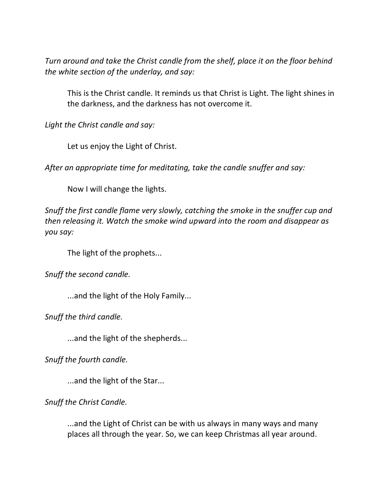*Turn around and take the Christ candle from the shelf, place it on the floor behind the white section of the underlay, and say:*

This is the Christ candle. It reminds us that Christ is Light. The light shines in the darkness, and the darkness has not overcome it.

*Light the Christ candle and say:*

Let us enjoy the Light of Christ.

*After an appropriate time for meditating, take the candle snuffer and say:* 

Now I will change the lights.

*Snuff the first candle flame very slowly, catching the smoke in the snuffer cup and then releasing it. Watch the smoke wind upward into the room and disappear as you say:* 

The light of the prophets...

*Snuff the second candle.*

...and the light of the Holy Family...

*Snuff the third candle.*

...and the light of the shepherds...

*Snuff the fourth candle.*

...and the light of the Star...

*Snuff the Christ Candle.*

...and the Light of Christ can be with us always in many ways and many places all through the year. So, we can keep Christmas all year around.